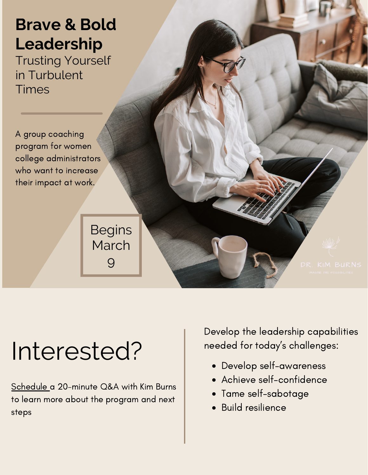### **Brave & Bold Leadership**

Trusting Yourself in Turbulent Times

A group coaching program for women college administrators who want to increase their impact at work.

> **Begins** March 9

# Interested?

[Schedule](https://app.acuityscheduling.com/schedule.php?owner=20640074&appointmentType=29862968) a 20-minute Q&A with Kim Burns to learn more about the program and next steps

Develop the leadership capabilities needed for today's challenges:

- Develop self-awareness
- Achieve self-confidence
- Tame self-sabotage
- Build resilience